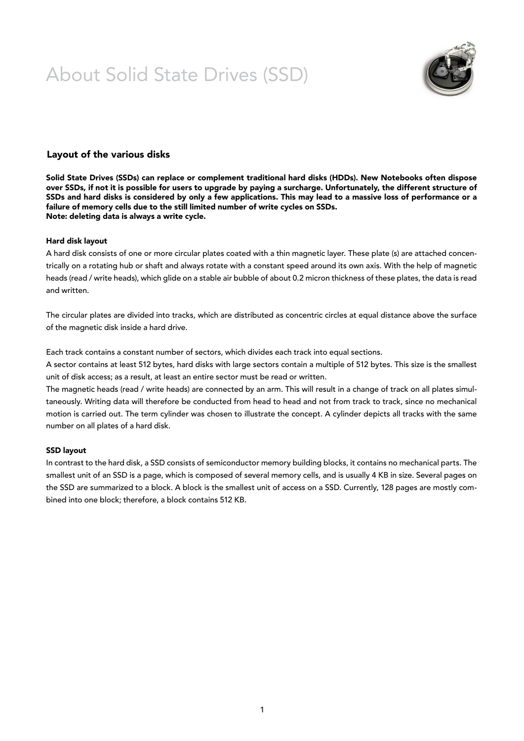# About Solid State Drives (SSD)



## Layout of the various disks

Solid State Drives (SSDs) can replace or complement traditional hard disks (HDDs). New Notebooks often dispose over SSDs, if not it is possible for users to upgrade by paying a surcharge. Unfortunately, the different structure of SSDs and hard disks is considered by only a few applications. This may lead to a massive loss of performance or a failure of memory cells due to the still limited number of write cycles on SSDs. Note: deleting data is always a write cycle.

### Hard disk layout

A hard disk consists of one or more circular plates coated with a thin magnetic layer. These plate (s) are attached concentrically on a rotating hub or shaft and always rotate with a constant speed around its own axis. With the help of magnetic heads (read / write heads), which glide on a stable air bubble of about 0.2 micron thickness of these plates, the data is read and written.

The circular plates are divided into tracks, which are distributed as concentric circles at equal distance above the surface of the magnetic disk inside a hard drive.

Each track contains a constant number of sectors, which divides each track into equal sections.

A sector contains at least 512 bytes, hard disks with large sectors contain a multiple of 512 bytes. This size is the smallest unit of disk access; as a result, at least an entire sector must be read or written.

The magnetic heads (read / write heads) are connected by an arm. This will result in a change of track on all plates simultaneously. Writing data will therefore be conducted from head to head and not from track to track, since no mechanical motion is carried out. The term cylinder was chosen to illustrate the concept. A cylinder depicts all tracks with the same number on all plates of a hard disk.

### SSD layout

In contrast to the hard disk, a SSD consists of semiconductor memory building blocks, it contains no mechanical parts. The smallest unit of an SSD is a page, which is composed of several memory cells, and is usually 4 KB in size. Several pages on the SSD are summarized to a block. A block is the smallest unit of access on a SSD. Currently, 128 pages are mostly combined into one block; therefore, a block contains 512 KB.